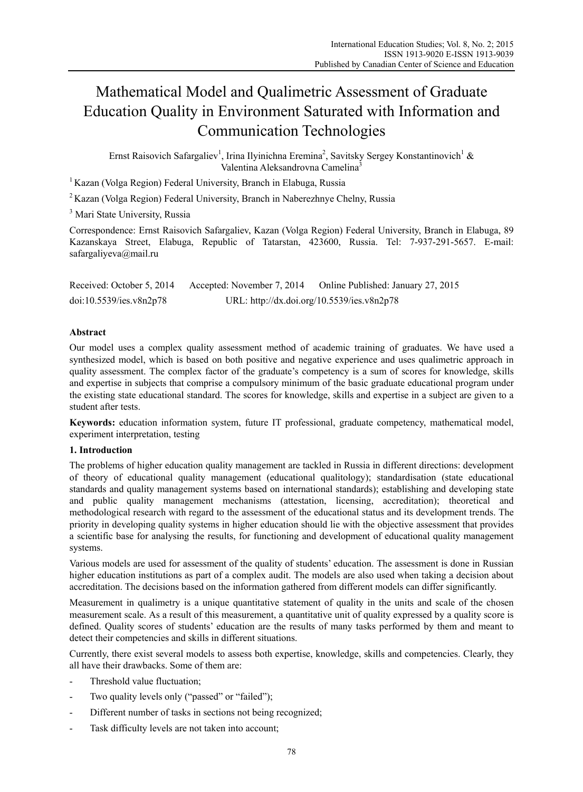# Mathematical Model and Qualimetric Assessment of Graduate Education Quality in Environment Saturated with Information and Communication Technologies

Ernst Raisovich Safargaliev<sup>1</sup>, Irina Ilyinichna Eremina<sup>2</sup>, Savitsky Sergey Konstantinovich<sup>1</sup> & Valentina Aleksandrovna Camelina<sup>3</sup>

<sup>1</sup> Kazan (Volga Region) Federal University, Branch in Elabuga, Russia

2 Kazan (Volga Region) Federal University, Branch in Naberezhnye Chelny, Russia

<sup>3</sup> Mari State University, Russia

Correspondence: Ernst Raisovich Safargaliev, Kazan (Volga Region) Federal University, Branch in Elabuga, 89 Kazanskaya Street, Elabuga, Republic of Tatarstan, 423600, Russia. Tel: 7-937-291-5657. E-mail: safargaliyeva@mail.ru

| Received: October 5, 2014 | Accepted: November 7, 2014                 | Online Published: January 27, 2015 |
|---------------------------|--------------------------------------------|------------------------------------|
| doi:10.5539/ies.v8n2p78   | URL: http://dx.doi.org/10.5539/ies.v8n2p78 |                                    |

## **Abstract**

Our model uses a complex quality assessment method of academic training of graduates. We have used a synthesized model, which is based on both positive and negative experience and uses qualimetric approach in quality assessment. The complex factor of the graduate's competency is a sum of scores for knowledge, skills and expertise in subjects that comprise a compulsory minimum of the basic graduate educational program under the existing state educational standard. The scores for knowledge, skills and expertise in a subject are given to a student after tests.

**Keywords:** education information system, future IT professional, graduate competency, mathematical model, experiment interpretation, testing

## **1. Introduction**

The problems of higher education quality management are tackled in Russia in different directions: development of theory of educational quality management (educational qualitology); standardisation (state educational standards and quality management systems based on international standards); establishing and developing state and public quality management mechanisms (attestation, licensing, accreditation); theoretical and methodological research with regard to the assessment of the educational status and its development trends. The priority in developing quality systems in higher education should lie with the objective assessment that provides a scientific base for analysing the results, for functioning and development of educational quality management systems.

Various models are used for assessment of the quality of students' education. The assessment is done in Russian higher education institutions as part of a complex audit. The models are also used when taking a decision about accreditation. The decisions based on the information gathered from different models can differ significantly.

Measurement in qualimetry is a unique quantitative statement of quality in the units and scale of the chosen measurement scale. As a result of this measurement, a quantitative unit of quality expressed by a quality score is defined. Quality scores of students' education are the results of many tasks performed by them and meant to detect their competencies and skills in different situations.

Currently, there exist several models to assess both expertise, knowledge, skills and competencies. Clearly, they all have their drawbacks. Some of them are:

- Threshold value fluctuation;
- Two quality levels only ("passed" or "failed");
- Different number of tasks in sections not being recognized;
- Task difficulty levels are not taken into account;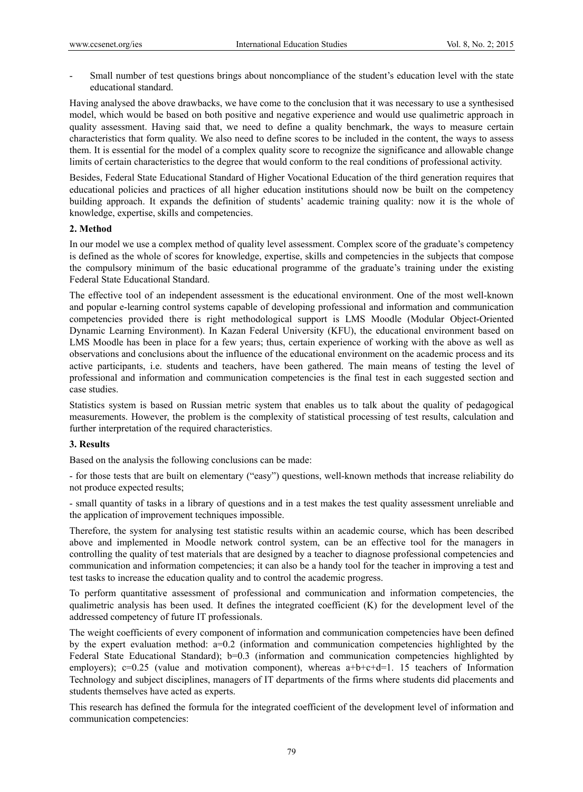- Small number of test questions brings about noncompliance of the student's education level with the state educational standard.

Having analysed the above drawbacks, we have come to the conclusion that it was necessary to use a synthesised model, which would be based on both positive and negative experience and would use qualimetric approach in quality assessment. Having said that, we need to define a quality benchmark, the ways to measure certain characteristics that form quality. We also need to define scores to be included in the content, the ways to assess them. It is essential for the model of a complex quality score to recognize the significance and allowable change limits of certain characteristics to the degree that would conform to the real conditions of professional activity.

Besides, Federal State Educational Standard of Higher Vocational Education of the third generation requires that educational policies and practices of all higher education institutions should now be built on the competency building approach. It expands the definition of students' academic training quality: now it is the whole of knowledge, expertise, skills and competencies.

### **2. Method**

In our model we use a complex method of quality level assessment. Complex score of the graduate's competency is defined as the whole of scores for knowledge, expertise, skills and competencies in the subjects that compose the compulsory minimum of the basic educational programme of the graduate's training under the existing Federal State Educational Standard.

The effective tool of an independent assessment is the educational environment. One of the most well-known and popular e-learning control systems capable of developing professional and information and communication competencies provided there is right methodological support is LMS Moodle (Modular Object-Oriented Dynamic Learning Environment). In Kazan Federal University (KFU), the educational environment based on LMS Moodle has been in place for a few years; thus, certain experience of working with the above as well as observations and conclusions about the influence of the educational environment on the academic process and its active participants, i.e. students and teachers, have been gathered. The main means of testing the level of professional and information and communication competencies is the final test in each suggested section and case studies.

Statistics system is based on Russian metric system that enables us to talk about the quality of pedagogical measurements. However, the problem is the complexity of statistical processing of test results, calculation and further interpretation of the required characteristics.

### **3. Results**

Based on the analysis the following conclusions can be made:

- for those tests that are built on elementary ("easy") questions, well-known methods that increase reliability do not produce expected results;

- small quantity of tasks in a library of questions and in a test makes the test quality assessment unreliable and the application of improvement techniques impossible.

Therefore, the system for analysing test statistic results within an academic course, which has been described above and implemented in Moodle network control system, can be an effective tool for the managers in controlling the quality of test materials that are designed by a teacher to diagnose professional competencies and communication and information competencies; it can also be a handy tool for the teacher in improving a test and test tasks to increase the education quality and to control the academic progress.

To perform quantitative assessment of professional and communication and information competencies, the qualimetric analysis has been used. It defines the integrated coefficient (K) for the development level of the addressed competency of future IT professionals.

The weight coefficients of every component of information and communication competencies have been defined by the expert evaluation method: а=0.2 (information and communication competencies highlighted by the Federal State Educational Standard); b=0.3 (information and communication competencies highlighted by employers); c=0.25 (value and motivation component), whereas  $a+b+c+d=1$ . 15 teachers of Information Technology and subject disciplines, managers of IT departments of the firms where students did placements and students themselves have acted as experts.

This research has defined the formula for the integrated coefficient of the development level of information and communication competencies: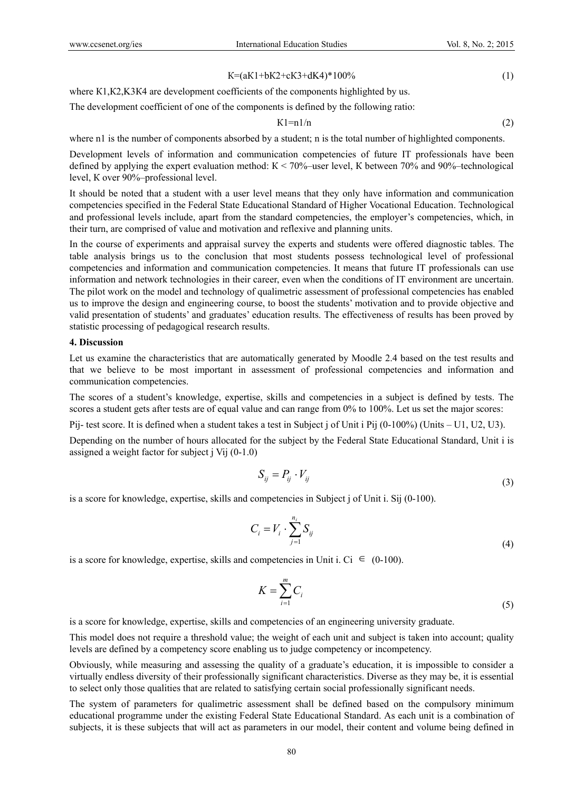$$
K = (aK1 + bK2 + cK3 + dK4)^*100\% \tag{1}
$$

where K1, K2, K3K4 are development coefficients of the components highlighted by us.

The development coefficient of one of the components is defined by the following ratio:

$$
K1 = n1/n \tag{2}
$$

where n1 is the number of components absorbed by a student; n is the total number of highlighted components.

Development levels of information and communication competencies of future IT professionals have been defined by applying the expert evaluation method:  $K < 70\%$ —user level, K between 70% and 90%—technological level, К over 90%–professional level.

It should be noted that a student with a user level means that they only have information and communication competencies specified in the Federal State Educational Standard of Higher Vocational Education. Technological and professional levels include, apart from the standard competencies, the employer's competencies, which, in their turn, are comprised of value and motivation and reflexive and planning units.

In the course of experiments and appraisal survey the experts and students were offered diagnostic tables. The table analysis brings us to the conclusion that most students possess technological level of professional competencies and information and communication competencies. It means that future IT professionals can use information and network technologies in their career, even when the conditions of IT environment are uncertain. The pilot work on the model and technology of qualimetric assessment of professional competencies has enabled us to improve the design and engineering course, to boost the students' motivation and to provide objective and valid presentation of students' and graduates' education results. The effectiveness of results has been proved by statistic processing of pedagogical research results.

#### **4. Discussion**

Let us examine the characteristics that are automatically generated by Moodle 2.4 based on the test results and that we believe to be most important in assessment of professional competencies and information and communication competencies.

The scores of a student's knowledge, expertise, skills and competencies in a subject is defined by tests. The scores a student gets after tests are of equal value and can range from 0% to 100%. Let us set the major scores:

Pij- test score. It is defined when a student takes a test in Subject j of Unit i Pij (0-100%) (Units – U1, U2, U3).

Depending on the number of hours allocated for the subject by the Federal State Educational Standard, Unit i is assigned a weight factor for subject j Vij (0-1.0)

$$
S_{ij} = P_{ij} \cdot V_{ij} \tag{3}
$$

is a score for knowledge, expertise, skills and competencies in Subject j of Unit i. Sij (0-100).

$$
C_i = V_i \cdot \sum_{j=1}^{n_i} S_{ij} \tag{4}
$$

is a score for knowledge, expertise, skills and competencies in Unit i. Ci  $\epsilon$  (0-100).

$$
K = \sum_{i=1}^{m} C_i
$$
 (5)

is a score for knowledge, expertise, skills and competencies of an engineering university graduate.

This model does not require a threshold value; the weight of each unit and subject is taken into account; quality levels are defined by a competency score enabling us to judge competency or incompetency.

Obviously, while measuring and assessing the quality of a graduate's education, it is impossible to consider a virtually endless diversity of their professionally significant characteristics. Diverse as they may be, it is essential to select only those qualities that are related to satisfying certain social professionally significant needs.

The system of parameters for qualimetric assessment shall be defined based on the compulsory minimum educational programme under the existing Federal State Educational Standard. As each unit is a combination of subjects, it is these subjects that will act as parameters in our model, their content and volume being defined in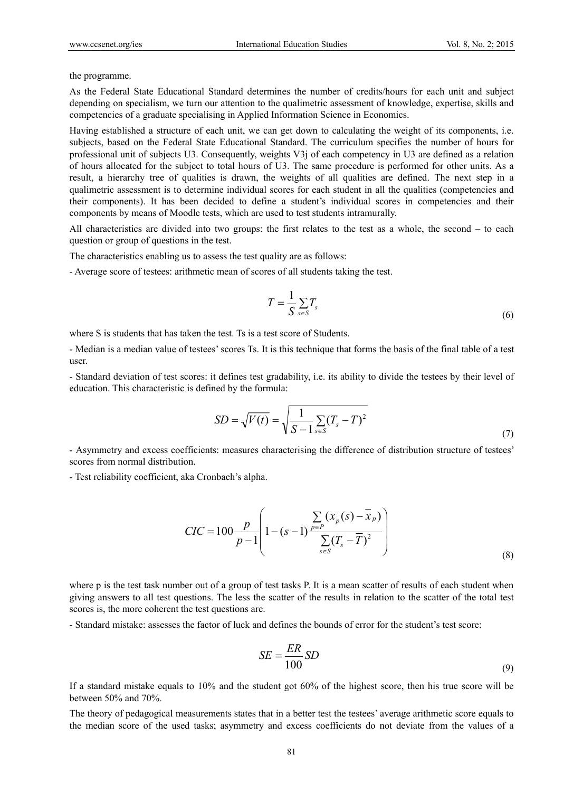the programme.

As the Federal State Educational Standard determines the number of credits/hours for each unit and subject depending on specialism, we turn our attention to the qualimetric assessment of knowledge, expertise, skills and competencies of a graduate specialising in Applied Information Science in Economics.

Having established a structure of each unit, we can get down to calculating the weight of its components, i.e. subjects, based on the Federal State Educational Standard. The curriculum specifies the number of hours for professional unit of subjects U3. Consequently, weights V3j of each competency in U3 are defined as a relation of hours allocated for the subject to total hours of U3. The same procedure is performed for other units. As a result, a hierarchy tree of qualities is drawn, the weights of all qualities are defined. The next step in a qualimetric assessment is to determine individual scores for each student in all the qualities (competencies and their components). It has been decided to define a student's individual scores in competencies and their components by means of Moodle tests, which are used to test students intramurally.

All characteristics are divided into two groups: the first relates to the test as a whole, the second – to each question or group of questions in the test.

The characteristics enabling us to assess the test quality are as follows:

- Average score of testees: arithmetic mean of scores of all students taking the test.

$$
T = \frac{1}{S} \sum_{s \in S} T_s \tag{6}
$$

where S is students that has taken the test. Ts is a test score of Students.

- Median is a median value of testees' scores Ts. It is this technique that forms the basis of the final table of a test user.

- Standard deviation of test scores: it defines test gradability, i.e. its ability to divide the testees by their level of education. This characteristic is defined by the formula:

$$
SD = \sqrt{V(t)} = \sqrt{\frac{1}{S - 1} \sum_{s \in S} (T_s - T)^2}
$$
\n(7)

- Asymmetry and excess coefficients: measures characterising the difference of distribution structure of testees' scores from normal distribution.

- Test reliability coefficient, aka Cronbach's alpha.

$$
CIC = 100 \frac{p}{p-1} \left( 1 - (s-1) \frac{\sum_{p \in P} (x_p(s) - \bar{x}_p)}{\sum_{s \in S} (T_s - \bar{T})^2} \right)
$$
(8)

where p is the test task number out of a group of test tasks P. It is a mean scatter of results of each student when giving answers to all test questions. The less the scatter of the results in relation to the scatter of the total test scores is, the more coherent the test questions are.

- Standard mistake: assesses the factor of luck and defines the bounds of error for the student's test score:

$$
SE = \frac{ER}{100} SD \tag{9}
$$

If a standard mistake equals to 10% and the student got 60% of the highest score, then his true score will be between 50% and 70%.

The theory of pedagogical measurements states that in a better test the testees' average arithmetic score equals to the median score of the used tasks; asymmetry and excess coefficients do not deviate from the values of a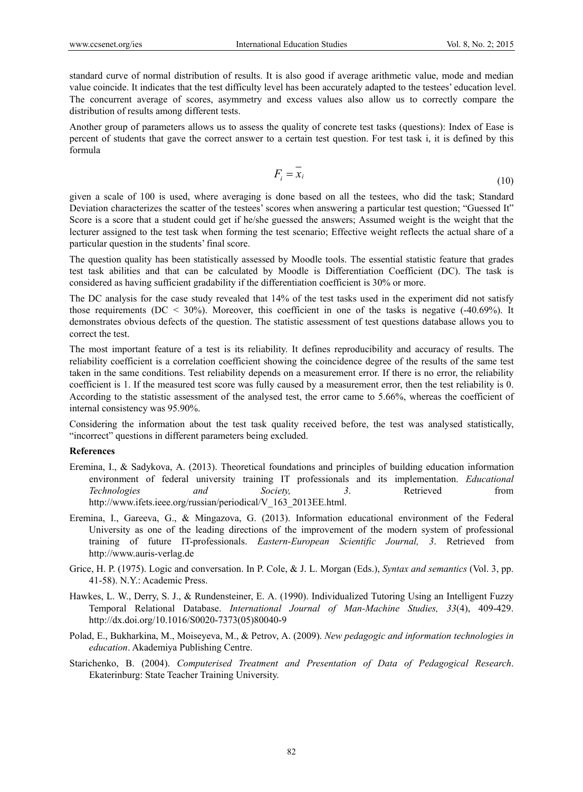standard curve of normal distribution of results. It is also good if average arithmetic value, mode and median value coincide. It indicates that the test difficulty level has been accurately adapted to the testees' education level. The concurrent average of scores, asymmetry and excess values also allow us to correctly compare the distribution of results among different tests.

Another group of parameters allows us to assess the quality of concrete test tasks (questions): Index of Ease is percent of students that gave the correct answer to a certain test question. For test task i, it is defined by this formula

$$
F_i = x_i \tag{10}
$$

given a scale of 100 is used, where averaging is done based on all the testees, who did the task; Standard Deviation characterizes the scatter of the testees' scores when answering a particular test question; "Guessed It" Score is a score that a student could get if he/she guessed the answers; Assumed weight is the weight that the lecturer assigned to the test task when forming the test scenario; Effective weight reflects the actual share of a particular question in the students' final score.

The question quality has been statistically assessed by Moodle tools. The essential statistic feature that grades test task abilities and that can be calculated by Moodle is Differentiation Coefficient (DC). The task is considered as having sufficient gradability if the differentiation coefficient is 30% or more.

The DC analysis for the case study revealed that 14% of the test tasks used in the experiment did not satisfy those requirements (DC  $\leq$  30%). Moreover, this coefficient in one of the tasks is negative (-40.69%). It demonstrates obvious defects of the question. The statistic assessment of test questions database allows you to correct the test.

The most important feature of a test is its reliability. It defines reproducibility and accuracy of results. The reliability coefficient is a correlation coefficient showing the coincidence degree of the results of the same test taken in the same conditions. Test reliability depends on a measurement error. If there is no error, the reliability coefficient is 1. If the measured test score was fully caused by a measurement error, then the test reliability is 0. According to the statistic assessment of the analysed test, the error came to 5.66%, whereas the coefficient of internal consistency was 95.90%.

Considering the information about the test task quality received before, the test was analysed statistically, "incorrect" questions in different parameters being excluded.

#### **References**

- Eremina, I., & Sadykova, A. (2013). Theoretical foundations and principles of building education information environment of federal university training IT professionals and its implementation. *Educational Technologies and Society, 3*. Retrieved from http://www.ifets.ieee.org/russian/periodical/V 163 2013EE.html.
- Eremina, I., Gareeva, G., & Mingazova, G. (2013). Information educational environment of the Federal University as one of the leading directions of the improvement of the modern system of professional training of future IT-professionals. *Eastern-European Scientific Journal, 3*. Retrieved from http://www.auris-verlag.de
- Grice, H. P. (1975). Logic and conversation. In P. Cole, & J. L. Morgan (Eds.), *Syntax and semantics* (Vol. 3, pp. 41-58). N.Y.: Academic Press.
- Hawkes, L. W., Derry, S. J., & Rundensteiner, E. A. (1990). Individualized Tutoring Using an Intelligent Fuzzy Temporal Relational Database. *International Journal of Man-Machine Studies, 33*(4), 409-429. http://dx.doi.org/10.1016/S0020-7373(05)80040-9
- Polad, E., Bukharkina, M., Moiseyeva, М., & Petrov, A. (2009). *New pedagogic and information technologies in education*. Akademiya Publishing Centre.
- Starichenko, B. (2004). *Computerised Treatment and Presentation of Data of Pedagogical Research*. Ekaterinburg: State Teacher Training University.